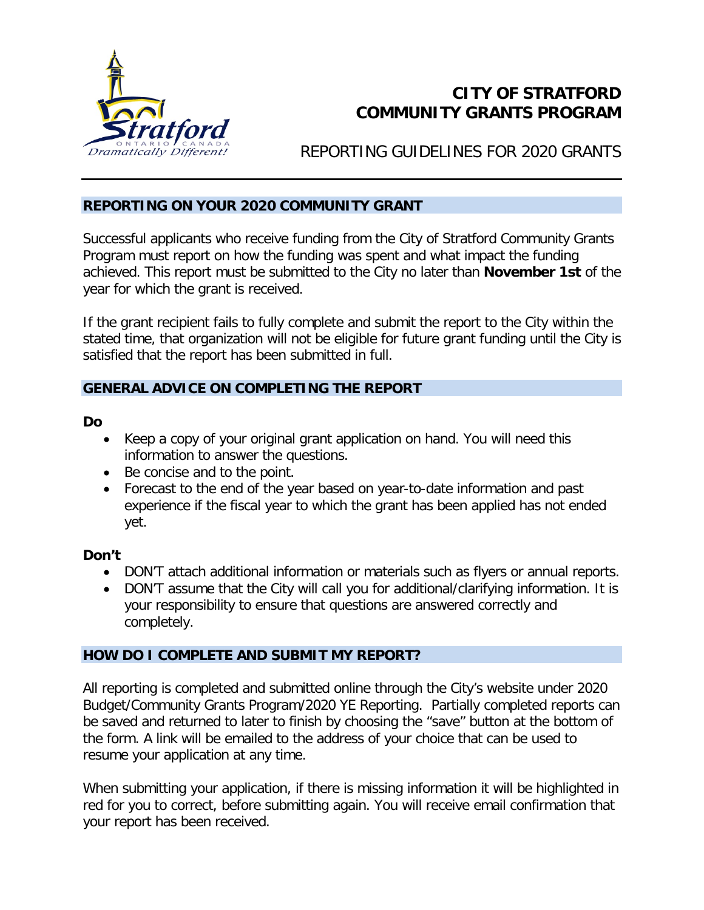

# **CITY OF STRATFORD COMMUNITY GRANTS PROGRAM**

REPORTING GUIDELINES FOR 2020 GRANTS

#### **REPORTING ON YOUR 2020 COMMUNITY GRANT**

Successful applicants who receive funding from the City of Stratford Community Grants Program must report on how the funding was spent and what impact the funding achieved. This report must be submitted to the City no later than **November 1st** of the year for which the grant is received.

If the grant recipient fails to fully complete and submit the report to the City within the stated time, that organization will not be eligible for future grant funding until the City is satisfied that the report has been submitted in full.

### **GENERAL ADVICE ON COMPLETING THE REPORT**

#### **Do**

- Keep a copy of your original grant application on hand. You will need this information to answer the questions.
- Be concise and to the point.
- Forecast to the end of the year based on year-to-date information and past experience if the fiscal year to which the grant has been applied has not ended yet.

### **Don't**

- DON'T attach additional information or materials such as flyers or annual reports.
- DON'T assume that the City will call you for additional/clarifying information. It is your responsibility to ensure that questions are answered correctly and completely.

### **HOW DO I COMPLETE AND SUBMIT MY REPORT?**

All reporting is completed and submitted online through the City's website under 2020 Budget/Community Grants Program/2020 YE Reporting. Partially completed reports can be saved and returned to later to finish by choosing the "save" button at the bottom of the form. A link will be emailed to the address of your choice that can be used to resume your application at any time.

When submitting your application, if there is missing information it will be highlighted in red for you to correct, before submitting again. You will receive email confirmation that your report has been received.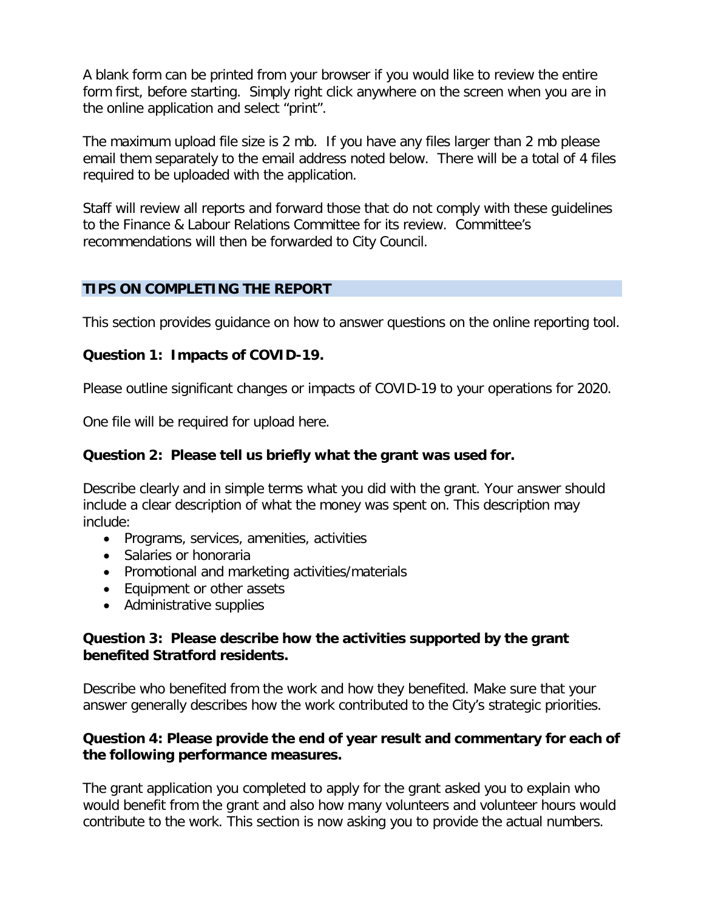A blank form can be printed from your browser if you would like to review the entire form first, before starting. Simply right click anywhere on the screen when you are in the online application and select "print".

The maximum upload file size is 2 mb. If you have any files larger than 2 mb please email them separately to the email address noted below. There will be a total of 4 files required to be uploaded with the application.

Staff will review all reports and forward those that do not comply with these guidelines to the Finance & Labour Relations Committee for its review. Committee's recommendations will then be forwarded to City Council.

### **TIPS ON COMPLETING THE REPORT**

This section provides guidance on how to answer questions on the online reporting tool.

#### **Question 1: Impacts of COVID-19.**

Please outline significant changes or impacts of COVID-19 to your operations for 2020.

One file will be required for upload here.

#### **Question 2: Please tell us briefly what the grant was used for.**

Describe clearly and in simple terms what you did with the grant. Your answer should include a clear description of what the money was spent on. This description may include:

- Programs, services, amenities, activities
- Salaries or honoraria
- Promotional and marketing activities/materials
- Equipment or other assets
- Administrative supplies

#### **Question 3: Please describe how the activities supported by the grant benefited Stratford residents.**

Describe who benefited from the work and how they benefited. Make sure that your answer generally describes how the work contributed to the City's strategic priorities.

#### **Question 4: Please provide the end of year result and commentary for each of the following performance measures.**

The grant application you completed to apply for the grant asked you to explain who would benefit from the grant and also how many volunteers and volunteer hours would contribute to the work. This section is now asking you to provide the actual numbers.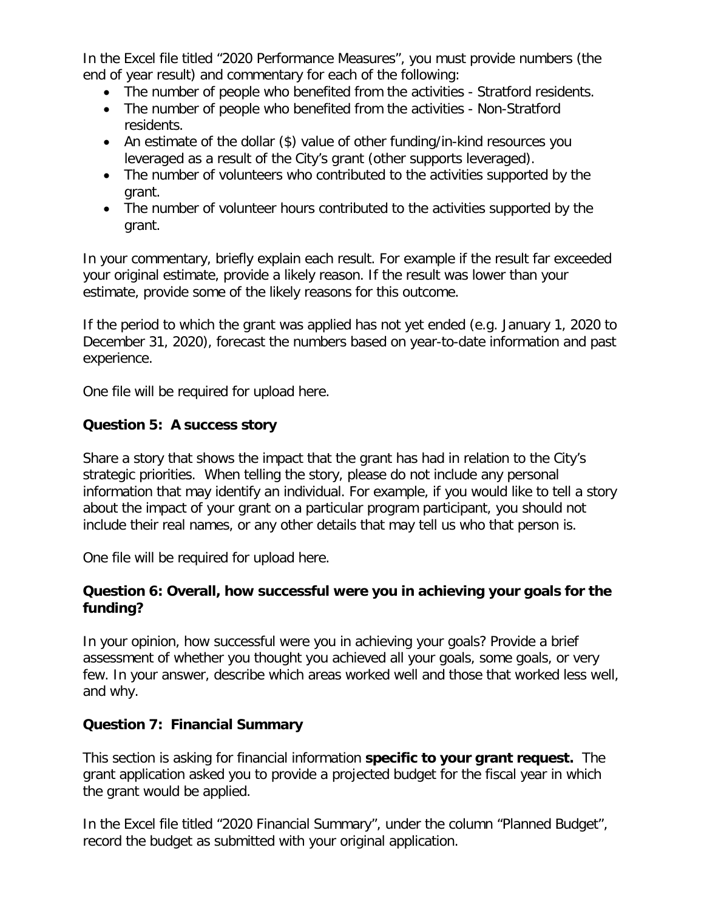In the Excel file titled "2020 Performance Measures", you must provide numbers (the end of year result) and commentary for each of the following:

- The number of people who benefited from the activities Stratford residents.
- The number of people who benefited from the activities Non-Stratford residents.
- An estimate of the dollar (\$) value of other funding/in-kind resources you leveraged as a result of the City's grant (other supports leveraged).
- The number of volunteers who contributed to the activities supported by the grant.
- The number of volunteer hours contributed to the activities supported by the grant.

In your commentary, briefly explain each result. For example if the result far exceeded your original estimate, provide a likely reason. If the result was lower than your estimate, provide some of the likely reasons for this outcome.

If the period to which the grant was applied has not yet ended (e.g. January 1, 2020 to December 31, 2020), forecast the numbers based on year-to-date information and past experience.

One file will be required for upload here.

## **Question 5: A success story**

Share a story that shows the impact that the grant has had in relation to the City's strategic priorities. When telling the story, please do not include any personal information that may identify an individual. For example, if you would like to tell a story about the impact of your grant on a particular program participant, you should not include their real names, or any other details that may tell us who that person is.

One file will be required for upload here.

## **Question 6: Overall, how successful were you in achieving your goals for the funding?**

In your opinion, how successful were you in achieving your goals? Provide a brief assessment of whether you thought you achieved all your goals, some goals, or very few. In your answer, describe which areas worked well and those that worked less well, and why.

### **Question 7: Financial Summary**

This section is asking for financial information **specific to your grant request.** The grant application asked you to provide a projected budget for the fiscal year in which the grant would be applied.

In the Excel file titled "2020 Financial Summary", under the column "Planned Budget", record the budget as submitted with your original application.